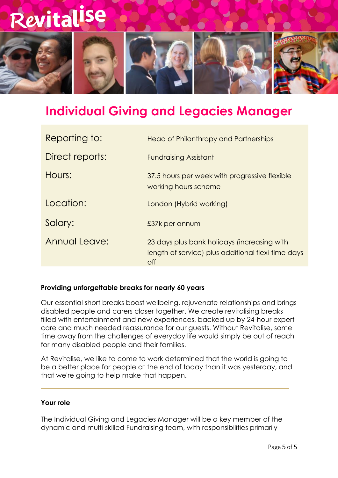

### **Individual Giving and Legacies Manager**

| <b>Head of Philanthropy and Partnerships</b>                                                                    |
|-----------------------------------------------------------------------------------------------------------------|
| <b>Fundraising Assistant</b>                                                                                    |
| 37.5 hours per week with progressive flexible<br>working hours scheme                                           |
| London (Hybrid working)                                                                                         |
| £37k per annum                                                                                                  |
| 23 days plus bank holidays (increasing with<br>length of service) plus additional flexi-time days<br><b>off</b> |
|                                                                                                                 |

#### **Providing unforgettable breaks for nearly 60 years**

Our essential short breaks boost wellbeing, rejuvenate relationships and brings disabled people and carers closer together. We create revitalising breaks filled with entertainment and new experiences, backed up by 24-hour expert care and much needed reassurance for our guests. Without Revitalise, some time away from the challenges of everyday life would simply be out of reach for many disabled people and their families.

At Revitalise, we like to come to work determined that the world is going to be a better place for people at the end of today than it was yesterday, and that we're going to help make that happen.

#### **Your role**

The Individual Giving and Legacies Manager will be a key member of the dynamic and multi-skilled Fundraising team, with responsibilities primarily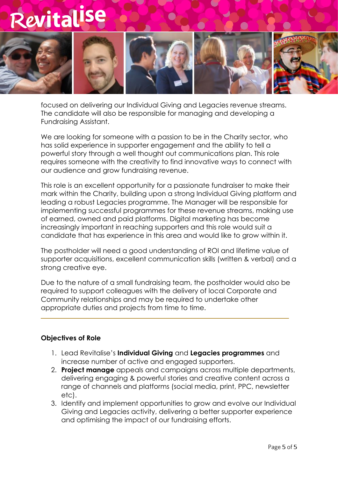

focused on delivering our Individual Giving and Legacies revenue streams. The candidate will also be responsible for managing and developing a Fundraising Assistant.

We are looking for someone with a passion to be in the Charity sector, who has solid experience in supporter engagement and the ability to tell a powerful story through a well thought out communications plan. This role requires someone with the creativity to find innovative ways to connect with our audience and grow fundraising revenue.

This role is an excellent opportunity for a passionate fundraiser to make their mark within the Charity, building upon a strong Individual Giving platform and leading a robust Legacies programme. The Manager will be responsible for implementing successful programmes for these revenue streams, making use of earned, owned and paid platforms. Digital marketing has become increasingly important in reaching supporters and this role would suit a candidate that has experience in this area and would like to grow within it.

The postholder will need a good understanding of ROI and lifetime value of supporter acquisitions, excellent communication skills (written & verbal) and a strong creative eye.

Due to the nature of a small fundraising team, the postholder would also be required to support colleagues with the delivery of local Corporate and Community relationships and may be required to undertake other appropriate duties and projects from time to time.

#### **Objectives of Role**

- 1. Lead Revitalise's **Individual Giving** and **Legacies programmes** and increase number of active and engaged supporters.
- 2. **Project manage** appeals and campaigns across multiple departments, delivering engaging & powerful stories and creative content across a range of channels and platforms (social media, print, PPC, newsletter etc).
- 3. Identify and implement opportunities to grow and evolve our Individual Giving and Legacies activity, delivering a better supporter experience and optimising the impact of our fundraising efforts.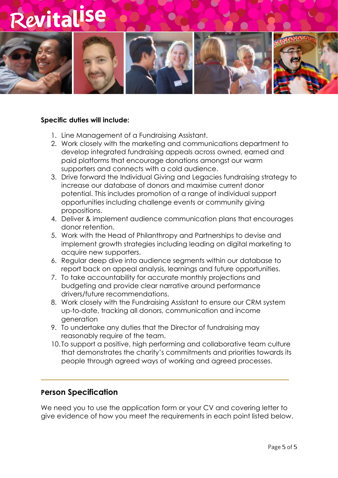

#### **Specific duties will include:**

- 1. Line Management of a Fundraising Assistant.
- 2. Work closely with the marketing and communications department to develop integrated fundraising appeals across owned, earned and paid platforms that encourage donations amongst our warm supporters and connects with a cold audience.
- 3. Drive forward the Individual Giving and Legacies fundraising strategy to increase our database of donors and maximise current donor potential. This includes promotion of a range of individual support opportunities including challenge events or community giving propositions.
- 4. Deliver & implement audience communication plans that encourages donor retention.
- 5. Work with the Head of Philanthropy and Partnerships to devise and implement growth strategies including leading on digital marketing to acquire new supporters.
- 6. Regular deep dive into audience segments within our database to report back on appeal analysis, learnings and future opportunities.
- 7. To take accountability for accurate monthly projections and budgeting and provide clear narrative around performance drivers/future recommendations.
- 8. Work closely with the Fundraising Assistant to ensure our CRM system up-to-date, tracking all donors, communication and income generation
- 9. To undertake any duties that the Director of fundraising may reasonably require of the team.
- 10. To support a positive, high performing and collaborative team culture that demonstrates the charity's commitments and priorities towards its people through agreed ways of working and agreed processes.

#### **Person Specification**

We need you to use the application form or your CV and covering letter to give evidence of how you meet the requirements in each point listed below.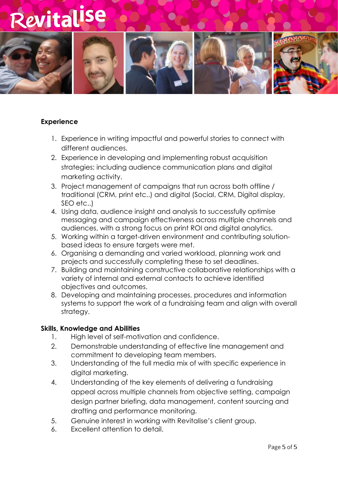

#### **Experience**

- 1. Experience in writing impactful and powerful stories to connect with different audiences.
- 2. Experience in developing and implementing robust acquisition strategies; including audience communication plans and digital marketing activity.
- 3. Project management of campaigns that run across both offline / traditional (CRM, print etc..) and digital (Social, CRM, Digital display, SEO etc..)
- 4. Using data, audience insight and analysis to successfully optimise messaging and campaign effectiveness across multiple channels and audiences, with a strong focus on print ROI and digital analytics.
- 5. Working within a target-driven environment and contributing solutionbased ideas to ensure targets were met.
- 6. Organising a demanding and varied workload, planning work and projects and successfully completing these to set deadlines.
- 7. Building and maintaining constructive collaborative relationships with a variety of internal and external contacts to achieve identified objectives and outcomes.
- 8. Developing and maintaining processes, procedures and information systems to support the work of a fundraising team and align with overall strategy.

#### **Skills, Knowledge and Abilities**

- 1. High level of self-motivation and confidence.
- 2. Demonstrable understanding of effective line management and commitment to developing team members.
- 3. Understanding of the full media mix of with specific experience in digital marketing.
- 4. Understanding of the key elements of delivering a fundraising appeal across multiple channels from objective setting, campaign design partner briefing, data management, content sourcing and drafting and performance monitoring.
- 5. Genuine interest in working with Revitalise's client group.
- 6. Excellent attention to detail.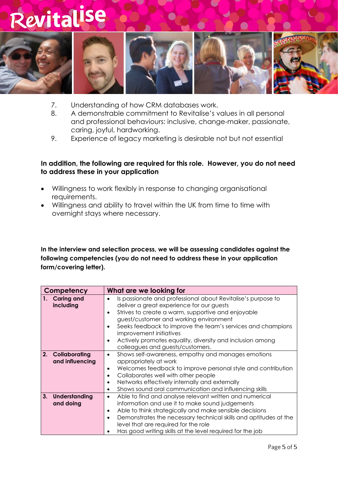

- 7. Understanding of how CRM databases work.
- 8. A demonstrable commitment to Revitalise's values in all personal and professional behaviours: inclusive, change-maker, passionate, caring, joyful, hardworking.
- 9. Experience of legacy marketing is desirable not but not essential

#### **In addition, the following are required for this role. However, you do not need to address these in your application**

- Willingness to work flexibly in response to changing organisational requirements.
- Willingness and ability to travel within the UK from time to time with overnight stays where necessary.

**In the interview and selection process, we will be assessing candidates against the following competencies (you do not need to address these in your application form/covering letter).**

| Competency                              | What are we looking for                                                                                                                                                                                                                                                                                                                                                                                           |
|-----------------------------------------|-------------------------------------------------------------------------------------------------------------------------------------------------------------------------------------------------------------------------------------------------------------------------------------------------------------------------------------------------------------------------------------------------------------------|
| 1. Caring and<br>including              | Is passionate and professional about Revitalise's purpose to<br>deliver a great experience for our guests<br>Strives to create a warm, supportive and enjoyable<br>guest/customer and working environment<br>Seeks feedback to improve the team's services and champions<br>improvement initiatives<br>Actively promotes equality, diversity and inclusion among<br>$\bullet$<br>colleagues and guests/customers. |
| 2.<br>Collaborating<br>and influencing  | Shows self-awareness, empathy and manages emotions<br>$\bullet$<br>appropriately at work<br>Welcomes feedback to improve personal style and contribution<br>$\bullet$<br>Collaborates well with other people<br>Networks effectively internally and externally<br>Shows sound oral communication and influencing skills                                                                                           |
| <b>Understanding</b><br>3.<br>and doing | Able to find and analyse relevant written and numerical<br>$\bullet$<br>information and use it to make sound judgements<br>Able to think strategically and make sensible decisions<br>$\bullet$<br>Demonstrates the necessary technical skills and aptitudes at the<br>level that are required for the role<br>Has good writing skills at the level required for the job                                          |